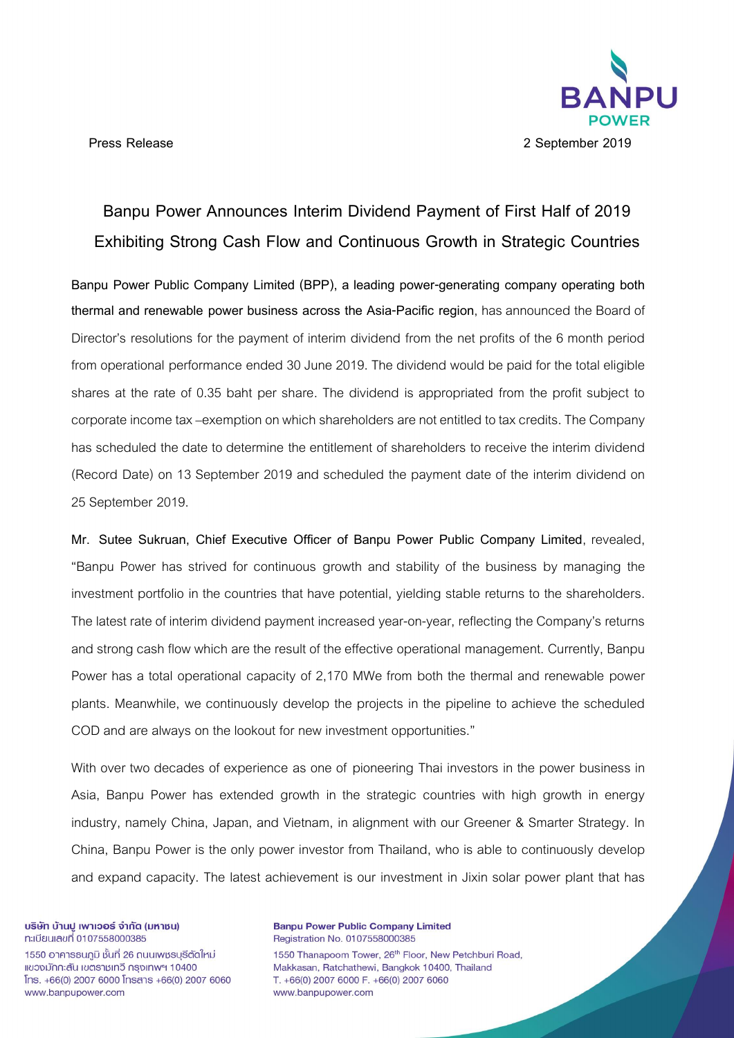

# **Banpu Power Announces Interim Dividend Payment of First Half of 2019 Exhibiting Strong Cash Flow and Continuous Growth in Strategic Countries**

**Banpu Power Public Company Limited (BPP), a leading power-generating company operating both thermal and renewable power business across the Asia-Pacific region**, has announced the Board of Director's resolutions for the payment of interim dividend from the net profits of the 6 month period from operational performance ended 30 June 2019. The dividend would be paid for the total eligible shares at the rate of 0.35 baht per share. The dividend is appropriated from the profit subject to corporate income tax –exemption on which shareholders are not entitled to tax credits. The Company has scheduled the date to determine the entitlement of shareholders to receive the interim dividend (Record Date) on 13 September 2019 and scheduled the payment date of the interim dividend on 25 September 2019.

**Mr. Sutee Sukruan, Chief Executive Officer of Banpu Power Public Company Limited**, revealed, "Banpu Power has strived for continuous growth and stability of the business by managing the investment portfolio in the countries that have potential, yielding stable returns to the shareholders. The latest rate of interim dividend payment increased year-on-year, reflecting the Company's returns and strong cash flow which are the result of the effective operational management. Currently, Banpu Power has a total operational capacity of 2,170 MWe from both the thermal and renewable power plants. Meanwhile, we continuously develop the projects in the pipeline to achieve the scheduled COD and are always on the lookout for new investment opportunities."

With over two decades of experience as one of pioneering Thai investors in the power business in Asia, Banpu Power has extended growth in the strategic countries with high growth in energy industry, namely China, Japan, and Vietnam, in alignment with our Greener & Smarter Strategy. In China, Banpu Power is the only power investor from Thailand, who is able to continuously develop and expand capacity. The latest achievement is our investment in Jixin solar power plant that has

บริษัท บ้านปู เพาเวอร์ จำกัด (มหาชน) ทะเบียนเลขที่ 0107558000385

1550 อาคารธนกมิ ชั้นที่ 26 ถนนเพชรบรีตัดใหม่ แขวงมักกะสัน เขตราชเทวี กรงเทพฯ 10400  $[ns. +66(0) 2007 6000]$  Insans  $+66(0) 2007 6060$ www.banpupower.com

**Banpu Power Public Company Limited** Registration No. 0107558000385 1550 Thanapoom Tower, 26<sup>th</sup> Floor, New Petchburi Road, Makkasan, Ratchathewi, Bangkok 10400, Thailand T. +66(0) 2007 6000 F. +66(0) 2007 6060 www.banpupower.com